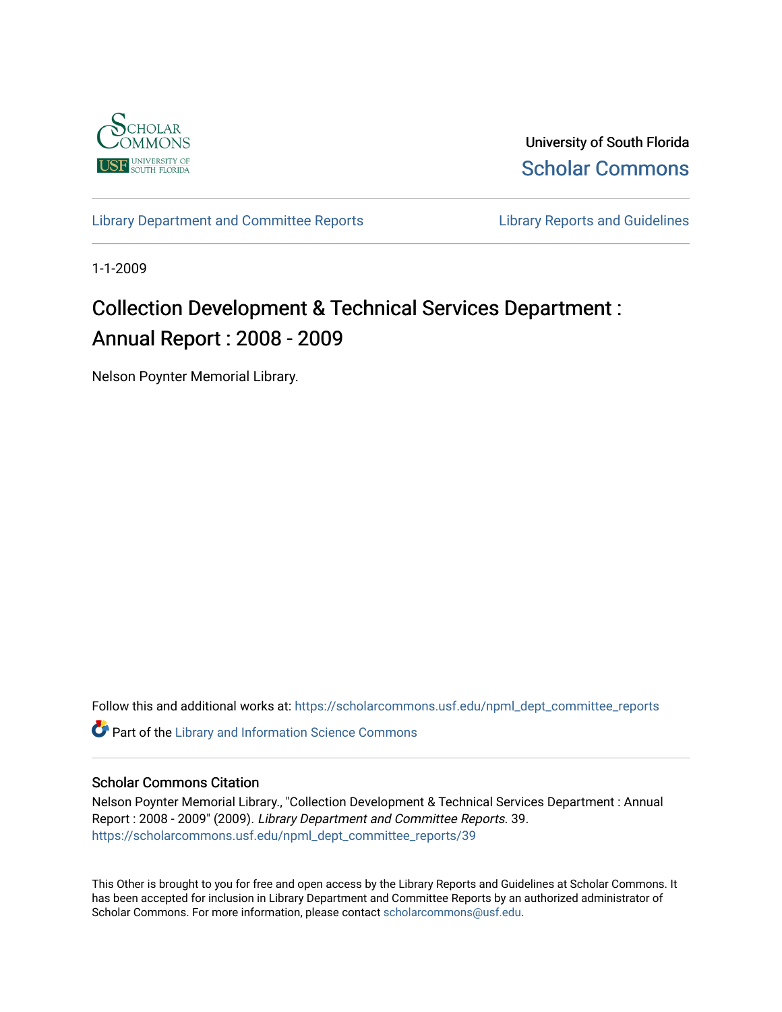

University of South Florida [Scholar Commons](https://scholarcommons.usf.edu/) 

[Library Department and Committee Reports](https://scholarcommons.usf.edu/npml_dept_committee_reports) **Library Reports and Guidelines** 

1-1-2009

# Collection Development & Technical Services Department : Annual Report : 2008 - 2009

Nelson Poynter Memorial Library.

Follow this and additional works at: [https://scholarcommons.usf.edu/npml\\_dept\\_committee\\_reports](https://scholarcommons.usf.edu/npml_dept_committee_reports?utm_source=scholarcommons.usf.edu%2Fnpml_dept_committee_reports%2F39&utm_medium=PDF&utm_campaign=PDFCoverPages)

**C** Part of the Library and Information Science Commons

## Scholar Commons Citation

Nelson Poynter Memorial Library., "Collection Development & Technical Services Department : Annual Report : 2008 - 2009" (2009). Library Department and Committee Reports. 39. [https://scholarcommons.usf.edu/npml\\_dept\\_committee\\_reports/39](https://scholarcommons.usf.edu/npml_dept_committee_reports/39?utm_source=scholarcommons.usf.edu%2Fnpml_dept_committee_reports%2F39&utm_medium=PDF&utm_campaign=PDFCoverPages) 

This Other is brought to you for free and open access by the Library Reports and Guidelines at Scholar Commons. It has been accepted for inclusion in Library Department and Committee Reports by an authorized administrator of Scholar Commons. For more information, please contact [scholarcommons@usf.edu](mailto:scholarcommons@usf.edu).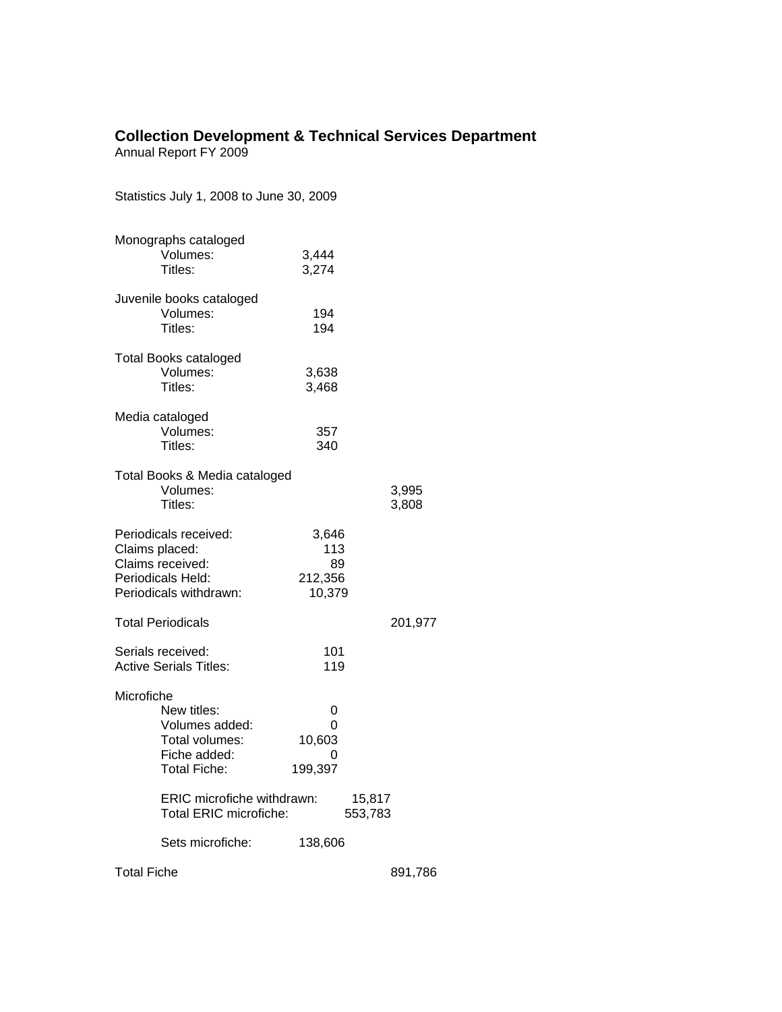# **Collection Development & Technical Services Department**

Annual Report FY 2009

Statistics July 1, 2008 to June 30, 2009

|                                                    | Monographs cataloged<br>Volumes:<br>Titles:                                                                                                                 | 3,444<br>3,274                              |                   |                |
|----------------------------------------------------|-------------------------------------------------------------------------------------------------------------------------------------------------------------|---------------------------------------------|-------------------|----------------|
|                                                    | Juvenile books cataloged<br>Volumes:<br>Titles:                                                                                                             | 194<br>194                                  |                   |                |
|                                                    | <b>Total Books cataloged</b><br>Volumes:<br>Titles:                                                                                                         | 3,638<br>3,468                              |                   |                |
|                                                    | Media cataloged<br>Volumes:<br>Titles:                                                                                                                      | 357<br>340                                  |                   |                |
|                                                    | Total Books & Media cataloged<br>Volumes:<br>Titles:                                                                                                        |                                             |                   | 3,995<br>3,808 |
| Claims placed:                                     | Periodicals received:<br>Claims received:<br>Periodicals Held:<br>Periodicals withdrawn:                                                                    | 3,646<br>113<br>89<br>212,356<br>10,379     |                   |                |
|                                                    | <b>Total Periodicals</b>                                                                                                                                    |                                             |                   | 201,977        |
| Serials received:<br><b>Active Serials Titles:</b> |                                                                                                                                                             | 101<br>119                                  |                   |                |
| Microfiche                                         | New titles:<br>Volumes added:<br>Total volumes:<br>Fiche added:<br>Total Fiche:<br>ERIC microfiche withdrawn:<br>Total ERIC microfiche:<br>Sets microfiche: | 0<br>0<br>10,603<br>0<br>199,397<br>138,606 | 15,817<br>553,783 |                |
|                                                    |                                                                                                                                                             |                                             |                   |                |
| <b>Total Fiche</b>                                 |                                                                                                                                                             |                                             |                   | 891,786        |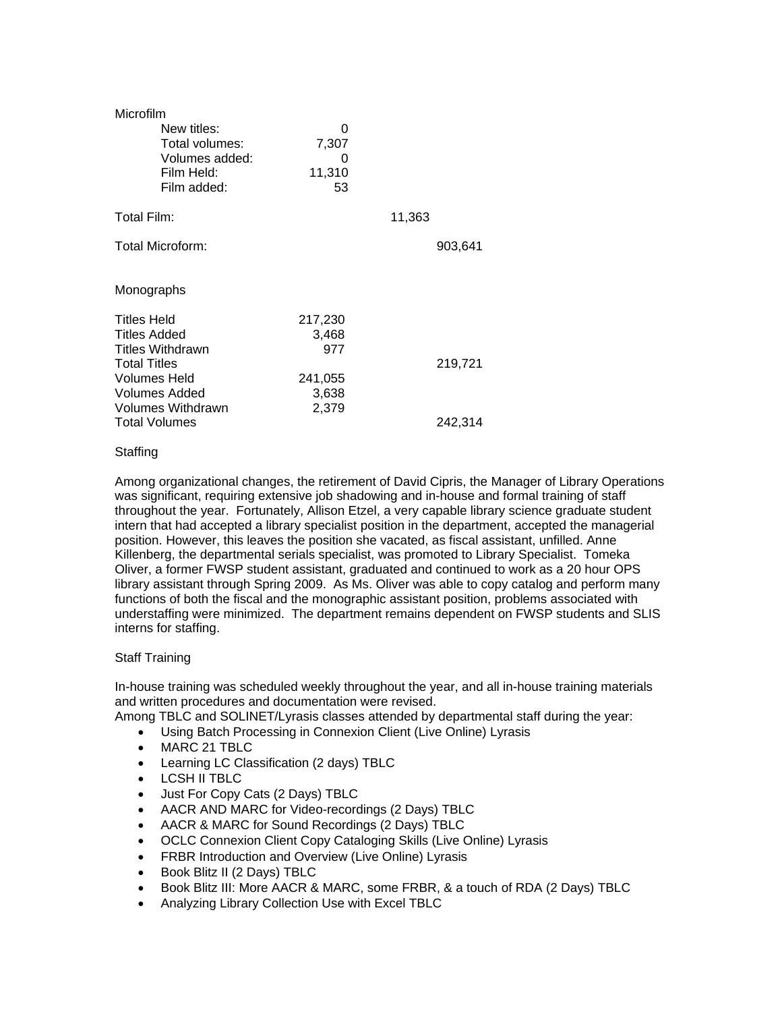| Microfilm               |         |         |         |  |  |  |
|-------------------------|---------|---------|---------|--|--|--|
| New titles:             | 0       |         |         |  |  |  |
| Total volumes:          | 7,307   |         |         |  |  |  |
| Volumes added:          | Ω       |         |         |  |  |  |
| Film Held:              | 11,310  |         |         |  |  |  |
| Film added:             | 53      |         |         |  |  |  |
| Total Film:             |         | 11,363  |         |  |  |  |
|                         |         |         |         |  |  |  |
| Total Microform:        |         |         | 903,641 |  |  |  |
|                         |         |         |         |  |  |  |
| Monographs              |         |         |         |  |  |  |
|                         |         |         |         |  |  |  |
| <b>Titles Held</b>      | 217,230 |         |         |  |  |  |
| <b>Titles Added</b>     | 3,468   |         |         |  |  |  |
| <b>Titles Withdrawn</b> | 977     |         |         |  |  |  |
| <b>Total Titles</b>     |         |         | 219,721 |  |  |  |
| Volumes Held            | 241,055 |         |         |  |  |  |
| Volumes Added           | 3,638   |         |         |  |  |  |
| Volumes Withdrawn       | 2,379   |         |         |  |  |  |
| <b>Total Volumes</b>    |         | 242,314 |         |  |  |  |

## **Staffing**

Among organizational changes, the retirement of David Cipris, the Manager of Library Operations was significant, requiring extensive job shadowing and in-house and formal training of staff throughout the year. Fortunately, Allison Etzel, a very capable library science graduate student intern that had accepted a library specialist position in the department, accepted the managerial position. However, this leaves the position she vacated, as fiscal assistant, unfilled. Anne Killenberg, the departmental serials specialist, was promoted to Library Specialist. Tomeka Oliver, a former FWSP student assistant, graduated and continued to work as a 20 hour OPS library assistant through Spring 2009. As Ms. Oliver was able to copy catalog and perform many functions of both the fiscal and the monographic assistant position, problems associated with understaffing were minimized. The department remains dependent on FWSP students and SLIS interns for staffing.

### Staff Training

In-house training was scheduled weekly throughout the year, and all in-house training materials and written procedures and documentation were revised.

Among TBLC and SOLINET/Lyrasis classes attended by departmental staff during the year:

- Using Batch Processing in Connexion Client (Live Online) Lyrasis
- MARC 21 TBLC
- Learning LC Classification (2 days) TBLC
- LCSH II TBLC
- Just For Copy Cats (2 Days) TBLC
- AACR AND MARC for Video-recordings (2 Days) TBLC
- AACR & MARC for Sound Recordings (2 Days) TBLC
- OCLC Connexion Client Copy Cataloging Skills (Live Online) Lyrasis
- FRBR Introduction and Overview (Live Online) Lyrasis
- Book Blitz II (2 Days) TBLC
- Book Blitz III: More AACR & MARC, some FRBR, & a touch of RDA (2 Days) TBLC
- Analyzing Library Collection Use with Excel TBLC